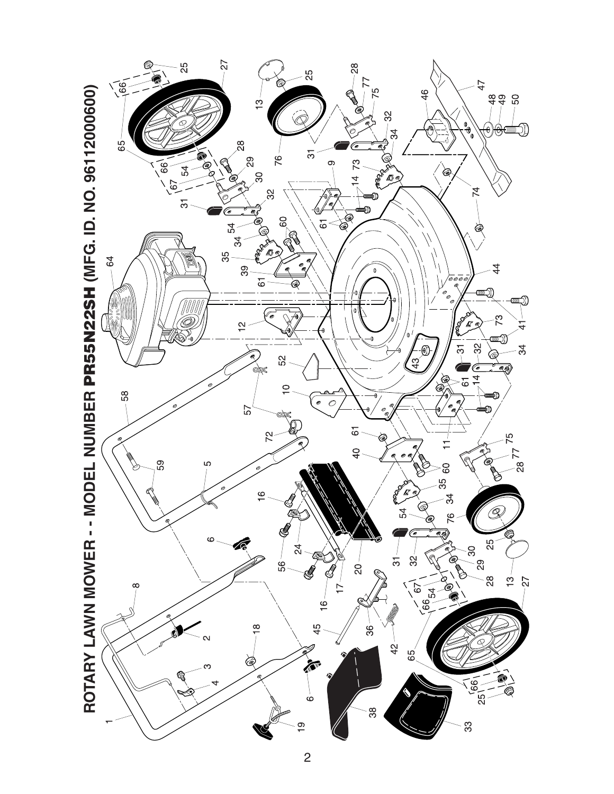